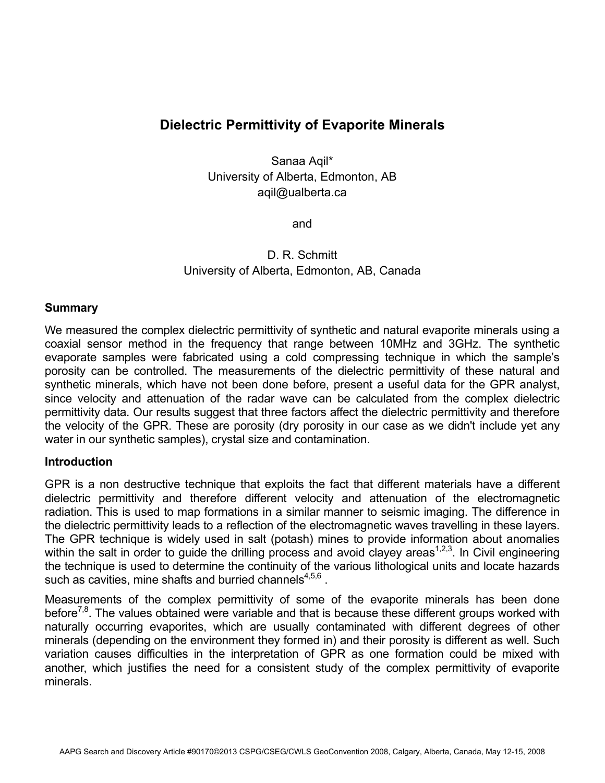# **Dielectric Permittivity of Evaporite Minerals**

Sanaa Aqil\* University of Alberta, Edmonton, AB aqil@ualberta.ca

and

D. R. Schmitt University of Alberta, Edmonton, AB, Canada

### **Summary**

We measured the complex dielectric permittivity of synthetic and natural evaporite minerals using a coaxial sensor method in the frequency that range between 10MHz and 3GHz. The synthetic evaporate samples were fabricated using a cold compressing technique in which the sample's porosity can be controlled. The measurements of the dielectric permittivity of these natural and synthetic minerals, which have not been done before, present a useful data for the GPR analyst, since velocity and attenuation of the radar wave can be calculated from the complex dielectric permittivity data. Our results suggest that three factors affect the dielectric permittivity and therefore the velocity of the GPR. These are porosity (dry porosity in our case as we didn't include yet any water in our synthetic samples), crystal size and contamination.

#### **Introduction**

GPR is a non destructive technique that exploits the fact that different materials have a different dielectric permittivity and therefore different velocity and attenuation of the electromagnetic radiation. This is used to map formations in a similar manner to seismic imaging. The difference in the dielectric permittivity leads to a reflection of the electromagnetic waves travelling in these layers. The GPR technique is widely used in salt (potash) mines to provide information about anomalies within the salt in order to guide the drilling process and avoid clayey areas<sup>1,2,3</sup>. In Civil engineering the technique is used to determine the continuity of the various lithological units and locate hazards such as cavities, mine shafts and burried channels<sup>4,5,6</sup>.

Measurements of the complex permittivity of some of the evaporite minerals has been done before<sup>7,8</sup>. The values obtained were variable and that is because these different groups worked with naturally occurring evaporites, which are usually contaminated with different degrees of other minerals (depending on the environment they formed in) and their porosity is different as well. Such variation causes difficulties in the interpretation of GPR as one formation could be mixed with another, which justifies the need for a consistent study of the complex permittivity of evaporite minerals.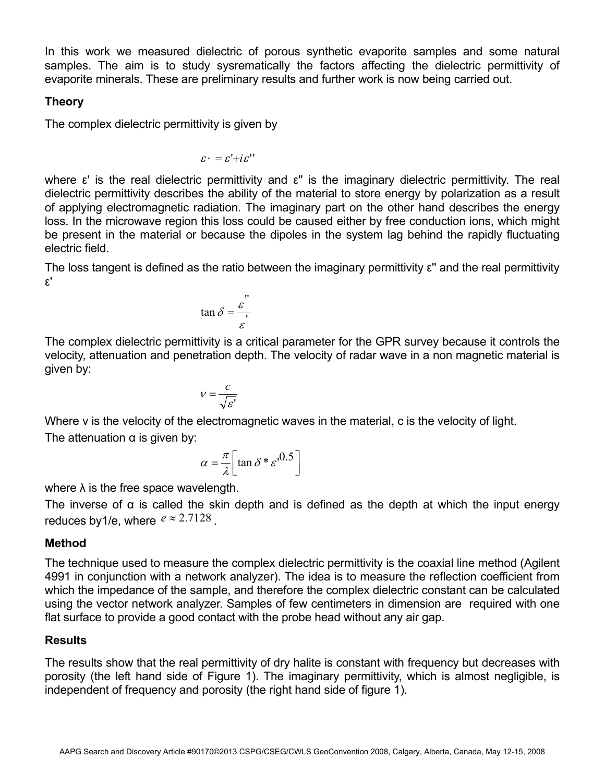In this work we measured dielectric of porous synthetic evaporite samples and some natural samples. The aim is to study sysrematically the factors affecting the dielectric permittivity of evaporite minerals. These are preliminary results and further work is now being carried out.

## **Theory**

The complex dielectric permittivity is given by

$$
\varepsilon^* = \varepsilon' + i\varepsilon''
$$

where ε' is the real dielectric permittivity and ε'' is the imaginary dielectric permittivity. The real dielectric permittivity describes the ability of the material to store energy by polarization as a result of applying electromagnetic radiation. The imaginary part on the other hand describes the energy loss. In the microwave region this loss could be caused either by free conduction ions, which might be present in the material or because the dipoles in the system lag behind the rapidly fluctuating electric field.

The loss tangent is defined as the ratio between the imaginary permittivity ε'' and the real permittivity ε'

$$
\tan \delta = \frac{\varepsilon}{\varepsilon}
$$

The complex dielectric permittivity is a critical parameter for the GPR survey because it controls the velocity, attenuation and penetration depth. The velocity of radar wave in a non magnetic material is given by:

$$
V = \frac{c}{\sqrt{\varepsilon'}}
$$

Where v is the velocity of the electromagnetic waves in the material, c is the velocity of light. The attenuation  $\alpha$  is given by:

$$
\alpha = \frac{\pi}{\lambda} \left[ \tan \delta \ast \varepsilon^{0.5} \right]
$$

where  $\lambda$  is the free space wavelength.

The inverse of  $\alpha$  is called the skin depth and is defined as the depth at which the input energy reduces by 1/e, where  $e \approx 2.7128$ .

## **Method**

The technique used to measure the complex dielectric permittivity is the coaxial line method (Agilent 4991 in conjunction with a network analyzer). The idea is to measure the reflection coefficient from which the impedance of the sample, and therefore the complex dielectric constant can be calculated using the vector network analyzer. Samples of few centimeters in dimension are required with one flat surface to provide a good contact with the probe head without any air gap.

## **Results**

The results show that the real permittivity of dry halite is constant with frequency but decreases with porosity (the left hand side of Figure 1). The imaginary permittivity, which is almost negligible, is independent of frequency and porosity (the right hand side of figure 1).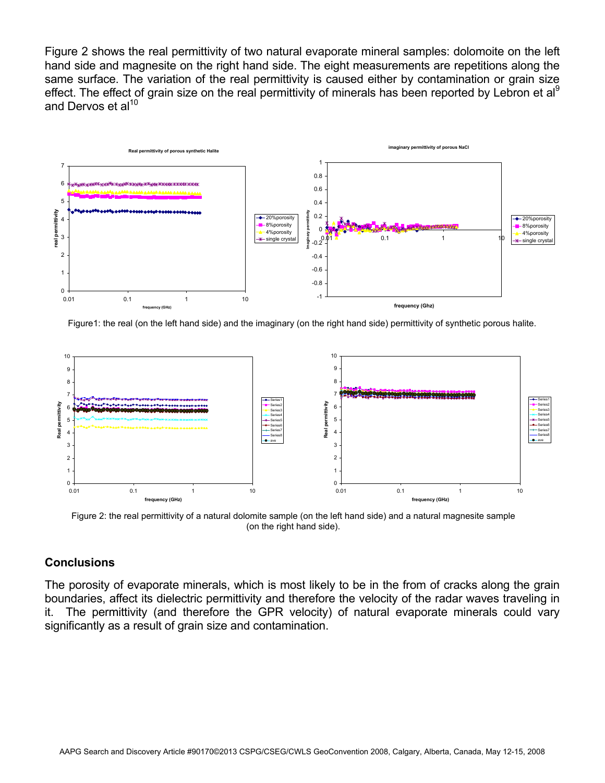Figure 2 shows the real permittivity of two natural evaporate mineral samples: dolomoite on the left hand side and magnesite on the right hand side. The eight measurements are repetitions along the same surface. The variation of the real permittivity is caused either by contamination or grain size effect. The effect of grain size on the real permittivity of minerals has been reported by Lebron et al<sup>9</sup> and Dervos et al $^{10}$ 



Figure1: the real (on the left hand side) and the imaginary (on the right hand side) permittivity of synthetic porous halite.



Figure 2: the real permittivity of a natural dolomite sample (on the left hand side) and a natural magnesite sample (on the right hand side).

## **Conclusions**

The porosity of evaporate minerals, which is most likely to be in the from of cracks along the grain boundaries, affect its dielectric permittivity and therefore the velocity of the radar waves traveling in it. The permittivity (and therefore the GPR velocity) of natural evaporate minerals could vary significantly as a result of grain size and contamination.